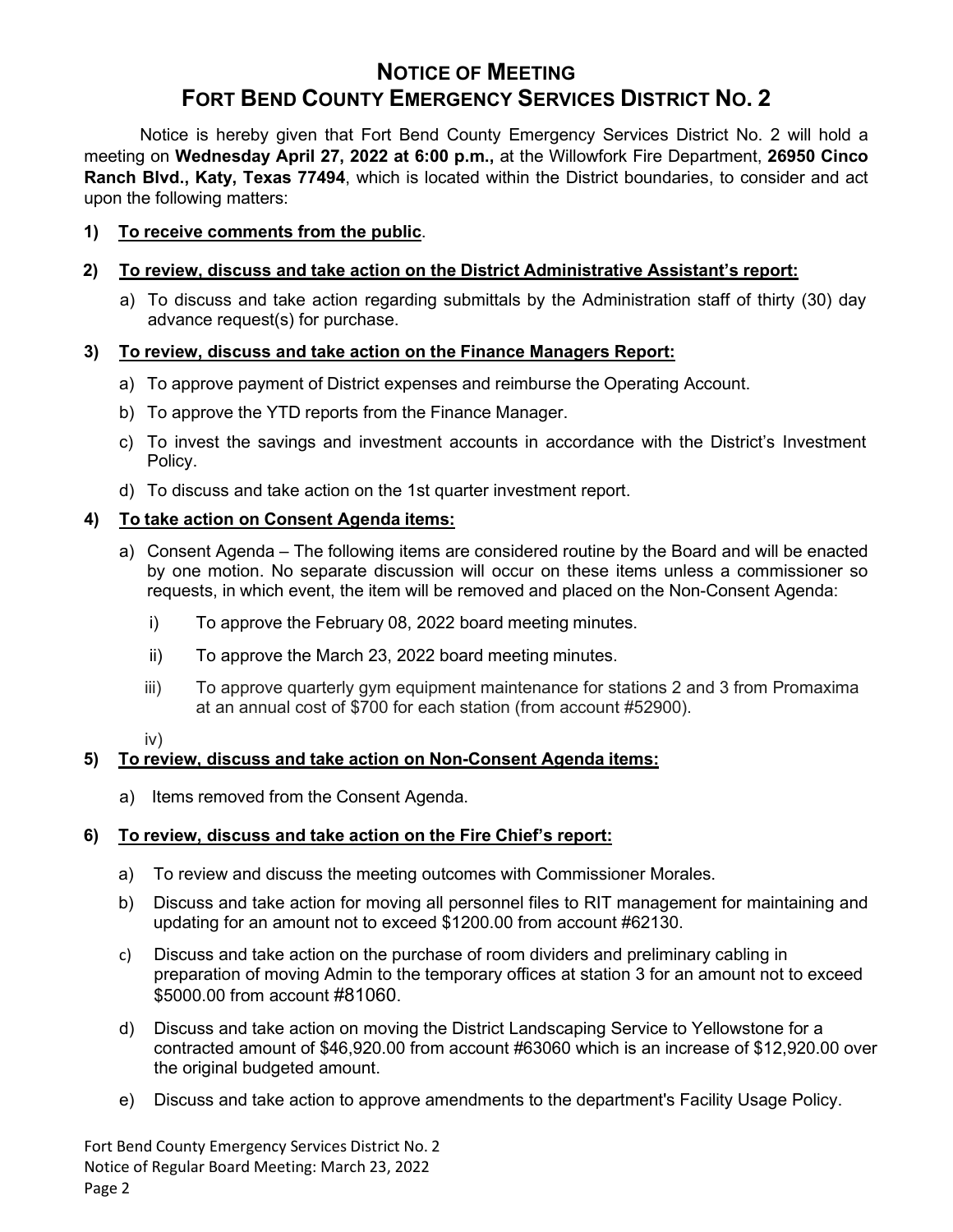# **NOTICE OF MEETING FORT BEND COUNTY EMERGENCY SERVICES DISTRICT NO. 2**

Notice is hereby given that Fort Bend County Emergency Services District No. 2 will hold a meeting on **Wednesday April 27, 2022 at 6:00 p.m.,** at the Willowfork Fire Department, **26950 Cinco Ranch Blvd., Katy, Texas 77494**, which is located within the District boundaries, to consider and act upon the following matters:

#### **1) To receive comments from the public**.

# **2) To review, discuss and take action on the District Administrative Assistant's report:**

a) To discuss and take action regarding submittals by the Administration staff of thirty (30) day advance request(s) for purchase.

### **3) To review, discuss and take action on the Finance Managers Report:**

- a) To approve payment of District expenses and reimburse the Operating Account.
- b) To approve the YTD reports from the Finance Manager.
- c) To invest the savings and investment accounts in accordance with the District's Investment Policy.
- d) To discuss and take action on the 1st quarter investment report.

# **4) To take action on Consent Agenda items:**

- a) Consent Agenda The following items are considered routine by the Board and will be enacted by one motion. No separate discussion will occur on these items unless a commissioner so requests, in which event, the item will be removed and placed on the Non-Consent Agenda:
	- i) To approve the February 08, 2022 board meeting minutes.
	- ii) To approve the March 23, 2022 board meeting minutes.
	- iii) To approve quarterly gym equipment maintenance for stations 2 and 3 from Promaxima at an annual cost of \$700 for each station (from account #52900).

#### iv)

### **5) To review, discuss and take action on Non-Consent Agenda items:**

a) Items removed from the Consent Agenda.

### **6) To review, discuss and take action on the Fire Chief's report:**

- a) To review and discuss the meeting outcomes with Commissioner Morales.
- b) Discuss and take action for moving all personnel files to RIT management for maintaining and updating for an amount not to exceed \$1200.00 from account #62130.
- c) Discuss and take action on the purchase of room dividers and preliminary cabling in preparation of moving Admin to the temporary offices at station 3 for an amount not to exceed \$5000.00 from account #81060.
- d) Discuss and take action on moving the District Landscaping Service to Yellowstone for a contracted amount of \$46,920.00 from account #63060 which is an increase of \$12,920.00 over the original budgeted amount.
- e) Discuss and take action to approve amendments to the department's Facility Usage Policy.

Fort Bend County Emergency Services District No. 2 Notice of Regular Board Meeting: March 23, 2022 Page 2